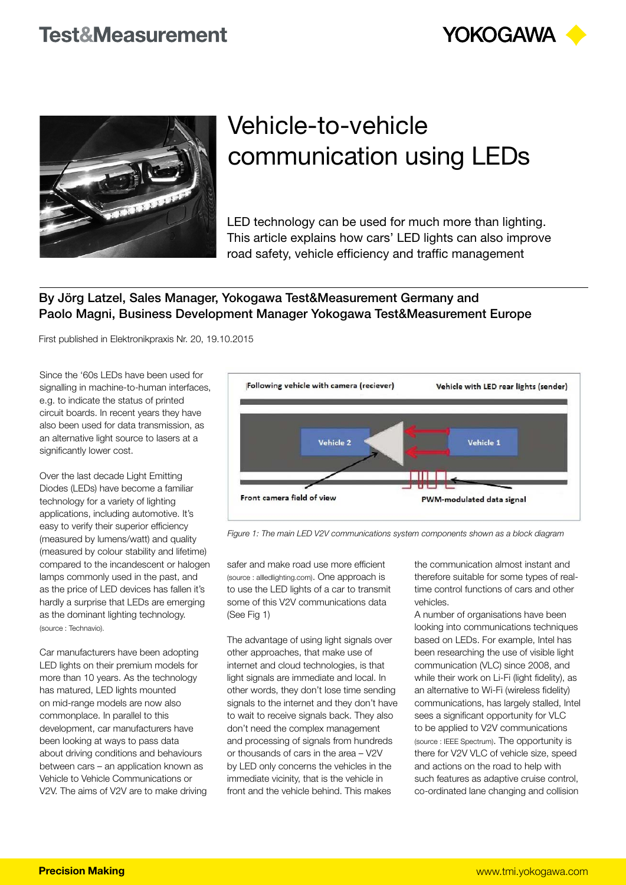



## Vehicle-to-vehicle communication using LEDs

LED technology can be used for much more than lighting. This article explains how cars' LED lights can also improve road safety, vehicle efficiency and traffic management

## By Jörg Latzel, Sales Manager, Yokogawa Test&Measurement Germany and Paolo Magni, Business Development Manager Yokogawa Test&Measurement Europe

First published in Elektronikpraxis Nr. 20, 19.10.2015

Since the '60s LEDs have been used for signalling in machine-to-human interfaces, e.g. to indicate the status of printed circuit boards. In recent years they have also been used for data transmission, as an alternative light source to lasers at a significantly lower cost.

Over the last decade Light Emitting Diodes (LEDs) have become a familiar technology for a variety of lighting applications, including automotive. It's easy to verify their superior efficiency (measured by lumens/watt) and quality (measured by colour stability and lifetime) compared to the incandescent or halogen lamps commonly used in the past, and as the price of LED devices has fallen it's hardly a surprise that LEDs are emerging as the dominant lighting technology. (source : Technavio).

Car manufacturers have been adopting LED lights on their premium models for more than 10 years. As the technology has matured, LED lights mounted on mid-range models are now also commonplace. In parallel to this development, car manufacturers have been looking at ways to pass data about driving conditions and behaviours between cars – an application known as Vehicle to Vehicle Communications or V2V. The aims of V2V are to make driving



*Figure 1: The main LED V2V communications system components shown as a block diagram*

safer and make road use more efficient (source : allledlighting.com). One approach is to use the LED lights of a car to transmit some of this V2V communications data (See Fig 1)

The advantage of using light signals over other approaches, that make use of internet and cloud technologies, is that light signals are immediate and local. In other words, they don't lose time sending signals to the internet and they don't have to wait to receive signals back. They also don't need the complex management and processing of signals from hundreds or thousands of cars in the area – V2V by LED only concerns the vehicles in the immediate vicinity, that is the vehicle in front and the vehicle behind. This makes

the communication almost instant and therefore suitable for some types of realtime control functions of cars and other vehicles.

A number of organisations have been looking into communications techniques based on LEDs. For example, Intel has been researching the use of visible light communication (VLC) since 2008, and while their work on Li-Fi (light fidelity), as an alternative to Wi-Fi (wireless fidelity) communications, has largely stalled, Intel sees a significant opportunity for VLC to be applied to V2V communications (source : IEEE Spectrum). The opportunity is there for V2V VLC of vehicle size, speed and actions on the road to help with such features as adaptive cruise control, co-ordinated lane changing and collision